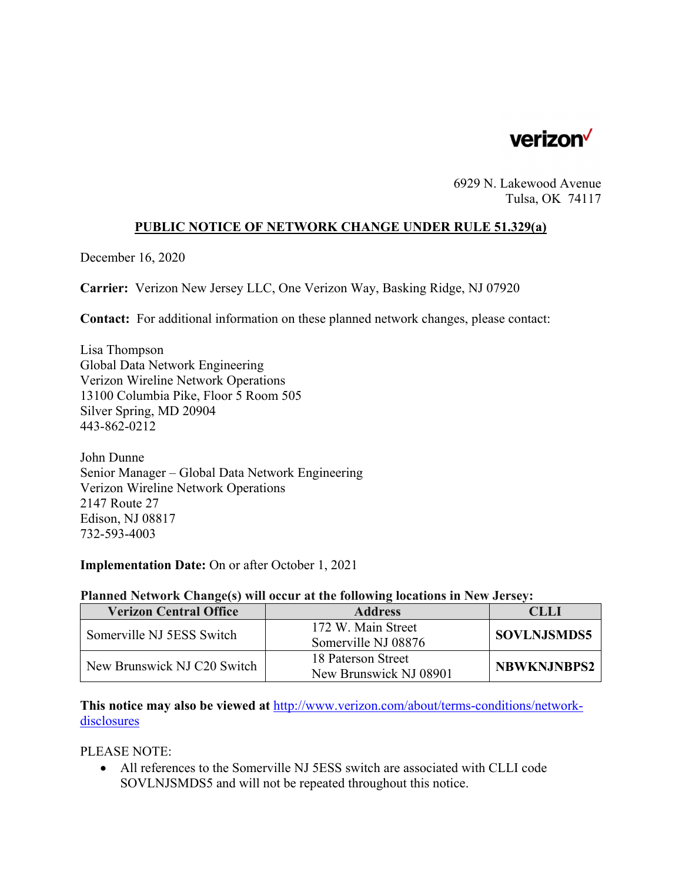

6929 N. Lakewood Avenue Tulsa, OK 74117

### **PUBLIC NOTICE OF NETWORK CHANGE UNDER RULE 51.329(a)**

December 16, 2020

**Carrier:** Verizon New Jersey LLC, One Verizon Way, Basking Ridge, NJ 07920

**Contact:** For additional information on these planned network changes, please contact:

Lisa Thompson Global Data Network Engineering Verizon Wireline Network Operations 13100 Columbia Pike, Floor 5 Room 505 Silver Spring, MD 20904 443-862-0212

John Dunne Senior Manager – Global Data Network Engineering Verizon Wireline Network Operations 2147 Route 27 Edison, NJ 08817 732-593-4003

### **Implementation Date:** On or after October 1, 2021

#### **Planned Network Change(s) will occur at the following locations in New Jersey:**

| <b>Verizon Central Office</b> | <b>Address</b>                               | e LL               |
|-------------------------------|----------------------------------------------|--------------------|
| Somerville NJ 5ESS Switch     | 172 W. Main Street<br>Somerville NJ 08876    | <b>SOVLNJSMDS5</b> |
| New Brunswick NJ C20 Switch   | 18 Paterson Street<br>New Brunswick NJ 08901 | <b>NBWKNJNBPS2</b> |

**This notice may also be viewed at** http://www.verizon.com/about/terms-conditions/networkdisclosures

PLEASE NOTE:

 All references to the Somerville NJ 5ESS switch are associated with CLLI code SOVLNJSMDS5 and will not be repeated throughout this notice.